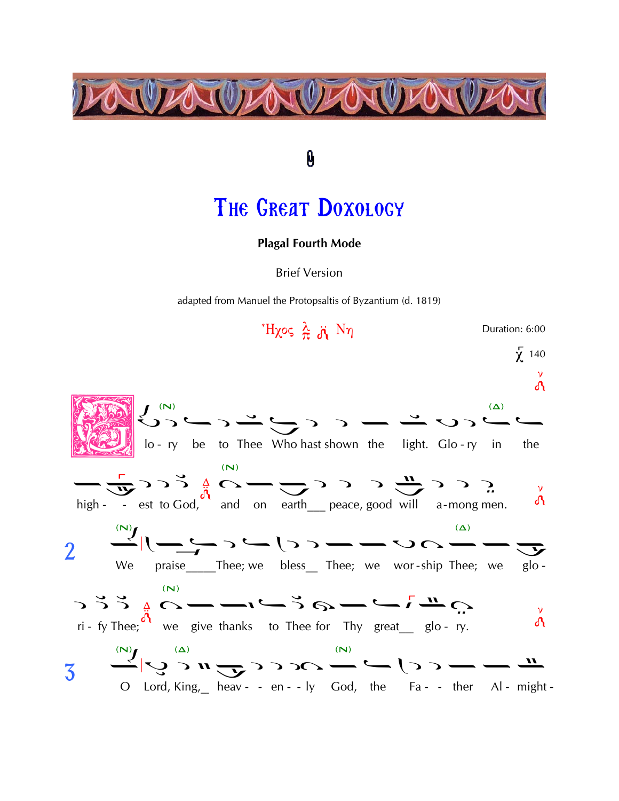

## $\pmb{\theta}$

## THE GREAT DOXOLOGY

## **Plagal Fourth Mode**

**Brief Version** 

adapted from Manuel the Protopsaltis of Byzantium (d. 1819)

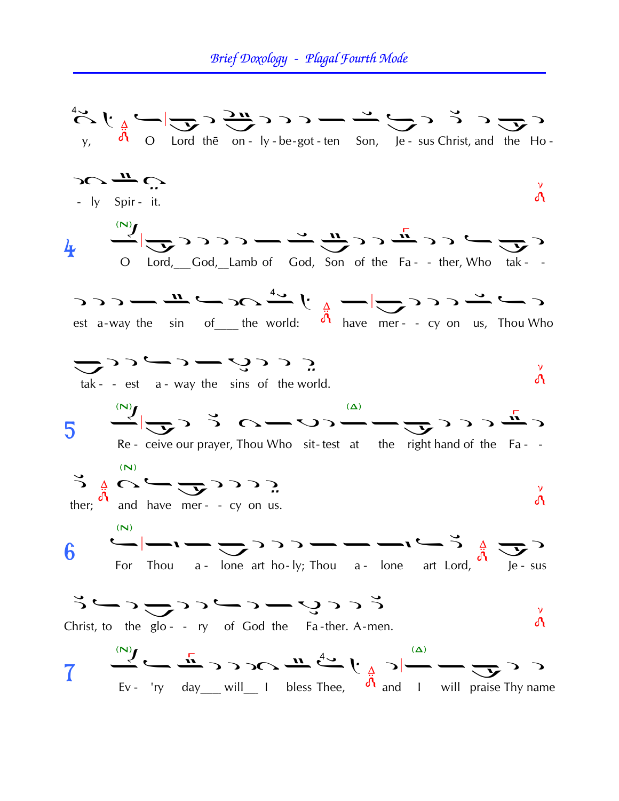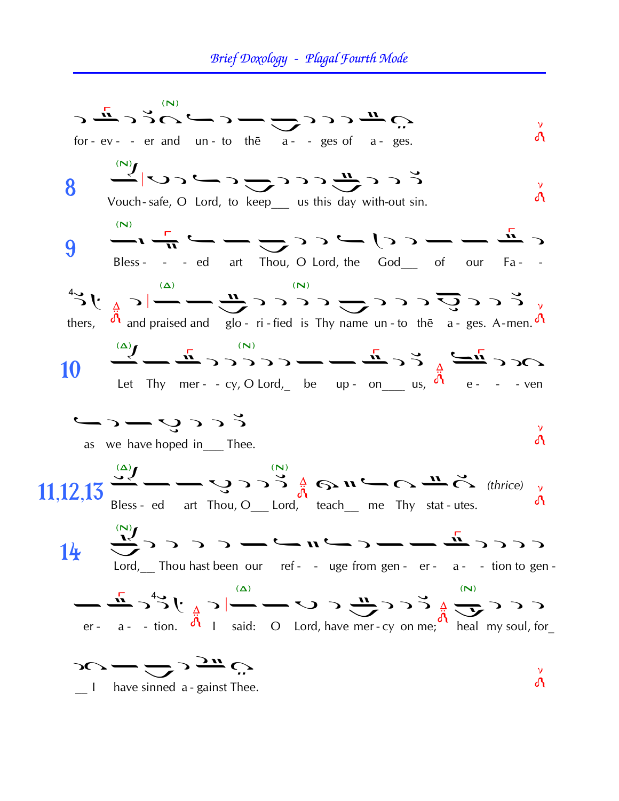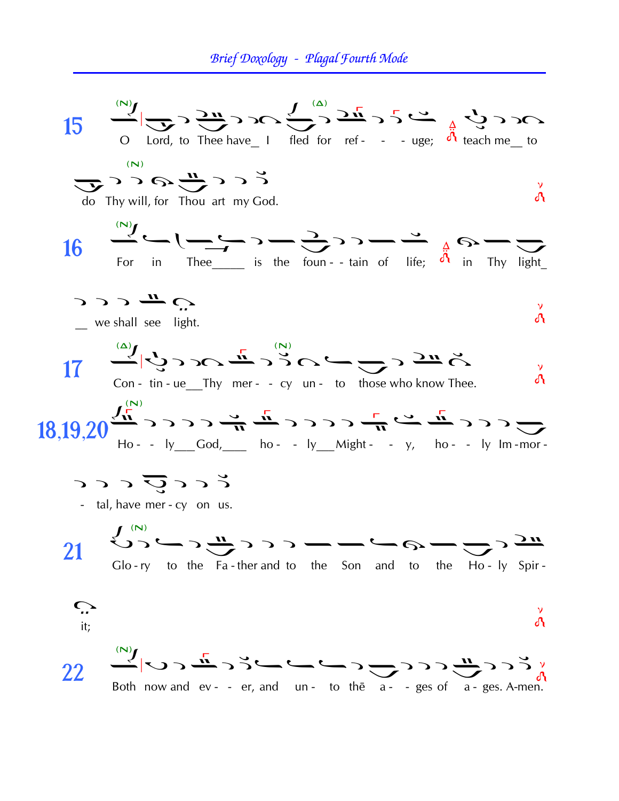Brief Doxology - Plagal Fourth Mode